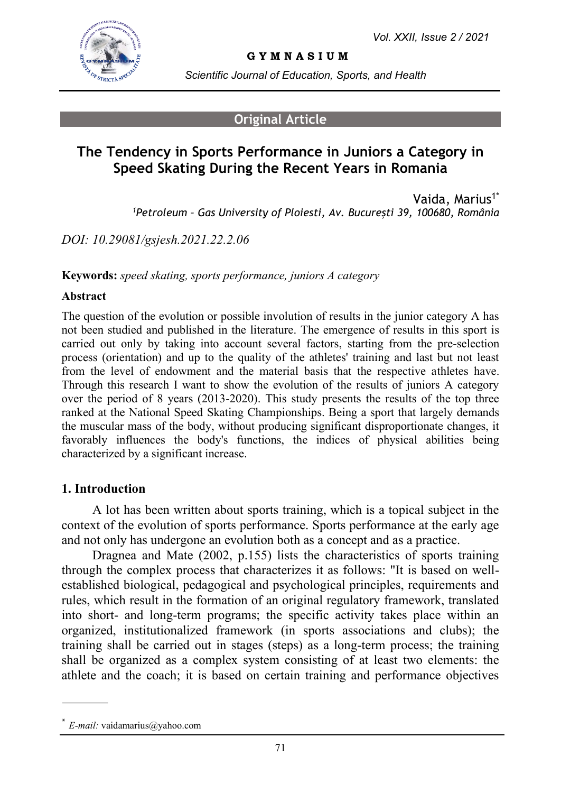

**G Y M N A S I U M**

*Scientific Journal of Education, Sports, and Health*

## **Original Article**

# **The Tendency in Sports Performance in Juniors a Category in Speed Skating During the Recent Years in Romania**

Vaida, Marius<sup>1\*</sup> *<sup>1</sup>Petroleum – Gas University of Ploiesti, Av. Bucureşti 39, 100680, România*

*DOI: 10.29081/gsjesh.2021.22.2.06*

**Keywords:** *speed skating, sports performance, juniors A category*

#### **Abstract**

The question of the evolution or possible involution of results in the junior category A has not been studied and published in the literature. The emergence of results in this sport is carried out only by taking into account several factors, starting from the pre-selection process (orientation) and up to the quality of the athletes' training and last but not least from the level of endowment and the material basis that the respective athletes have. Through this research I want to show the evolution of the results of juniors A category over the period of 8 years (2013-2020). This study presents the results of the top three ranked at the National Speed Skating Championships. Being a sport that largely demands the muscular mass of the body, without producing significant disproportionate changes, it favorably influences the body's functions, the indices of physical abilities being characterized by a significant increase.

#### **1. Introduction**

A lot has been written about sports training, which is a topical subject in the context of the evolution of sports performance. Sports performance at the early age and not only has undergone an evolution both as a concept and as a practice.

Dragnea and Mate (2002, p.155) lists the characteristics of sports training through the complex process that characterizes it as follows: "It is based on wellestablished biological, pedagogical and psychological principles, requirements and rules, which result in the formation of an original regulatory framework, translated into short- and long-term programs; the specific activity takes place within an organized, institutionalized framework (in sports associations and clubs); the training shall be carried out in stages (steps) as a long-term process; the training shall be organized as a complex system consisting of at least two elements: the athlete and the coach; it is based on certain training and performance objectives

<sup>\*</sup> *E-mail:* vaidamarius@yahoo.com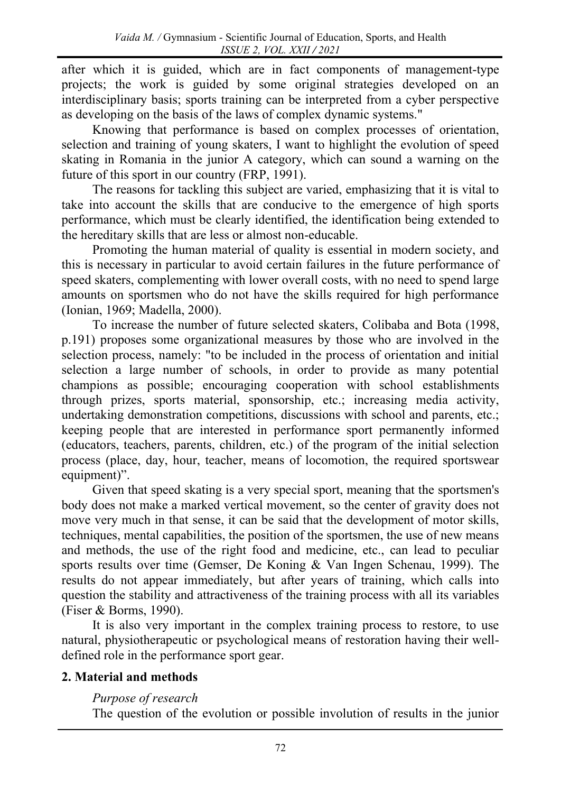after which it is guided, which are in fact components of management-type projects; the work is guided by some original strategies developed on an interdisciplinary basis; sports training can be interpreted from a cyber perspective as developing on the basis of the laws of complex dynamic systems."

Knowing that performance is based on complex processes of orientation, selection and training of young skaters, I want to highlight the evolution of speed skating in Romania in the junior A category, which can sound a warning on the future of this sport in our country (FRP, 1991).

The reasons for tackling this subject are varied, emphasizing that it is vital to take into account the skills that are conducive to the emergence of high sports performance, which must be clearly identified, the identification being extended to the hereditary skills that are less or almost non-educable.

Promoting the human material of quality is essential in modern society, and this is necessary in particular to avoid certain failures in the future performance of speed skaters, complementing with lower overall costs, with no need to spend large amounts on sportsmen who do not have the skills required for high performance (Ionian, 1969; Madella, 2000).

To increase the number of future selected skaters, Colibaba and Bota (1998, p.191) proposes some organizational measures by those who are involved in the selection process, namely: "to be included in the process of orientation and initial selection a large number of schools, in order to provide as many potential champions as possible; encouraging cooperation with school establishments through prizes, sports material, sponsorship, etc.; increasing media activity, undertaking demonstration competitions, discussions with school and parents, etc.; keeping people that are interested in performance sport permanently informed (educators, teachers, parents, children, etc.) of the program of the initial selection process (place, day, hour, teacher, means of locomotion, the required sportswear equipment)".

Given that speed skating is a very special sport, meaning that the sportsmen's body does not make a marked vertical movement, so the center of gravity does not move very much in that sense, it can be said that the development of motor skills, techniques, mental capabilities, the position of the sportsmen, the use of new means and methods, the use of the right food and medicine, etc., can lead to peculiar sports results over time (Gemser, De Koning & Van Ingen Schenau, 1999). The results do not appear immediately, but after years of training, which calls into question the stability and attractiveness of the training process with all its variables (Fiser & Borms, 1990).

It is also very important in the complex training process to restore, to use natural, physiotherapeutic or psychological means of restoration having their welldefined role in the performance sport gear.

## **2. Material and methods**

### *Purpose of research*

The question of the evolution or possible involution of results in the junior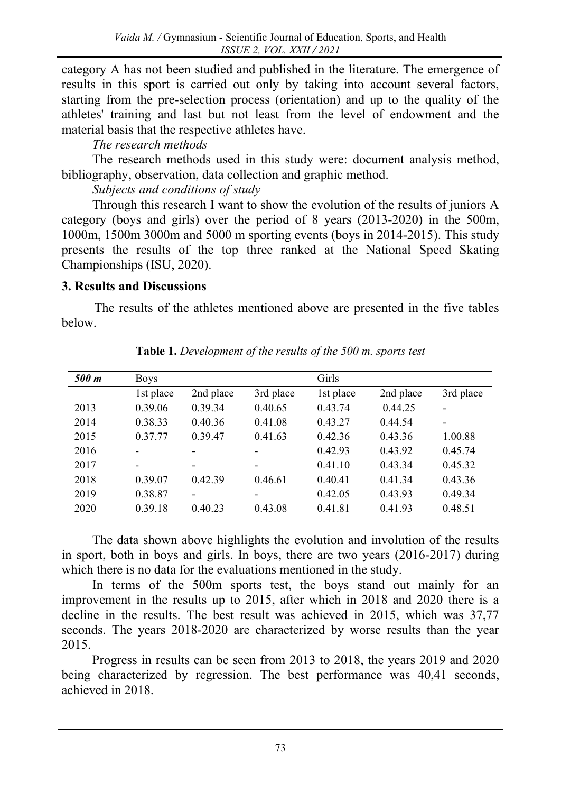category A has not been studied and published in the literature. The emergence of results in this sport is carried out only by taking into account several factors, starting from the pre-selection process (orientation) and up to the quality of the athletes' training and last but not least from the level of endowment and the material basis that the respective athletes have.

## *The research methods*

The research methods used in this study were: document analysis method, bibliography, observation, data collection and graphic method.

*Subjects and conditions of study*

Through this research I want to show the evolution of the results of juniors A category (boys and girls) over the period of 8 years (2013-2020) in the 500m, 1000m, 1500m 3000m and 5000 m sporting events (boys in 2014-2015). This study presents the results of the top three ranked at the National Speed Skating Championships (ISU, 2020).

## **3. Results and Discussions**

The results of the athletes mentioned above are presented in the five tables below.

| 500 m | <b>Boys</b> |                              |                          | Girls     |           |                          |
|-------|-------------|------------------------------|--------------------------|-----------|-----------|--------------------------|
|       | 1st place   | 2nd place                    | 3rd place                | 1st place | 2nd place | 3rd place                |
| 2013  | 0.39.06     | 0.39.34                      | 0.40.65                  | 0.43.74   | 0.44.25   | $\overline{\phantom{a}}$ |
| 2014  | 0.38.33     | 0.40.36                      | 0.41.08                  | 0.43.27   | 0.44.54   | $\overline{\phantom{a}}$ |
| 2015  | 0.37.77     | 0.39.47                      | 0.41.63                  | 0.42.36   | 0.43.36   | 1.00.88                  |
| 2016  | -           |                              |                          | 0.42.93   | 0.43.92   | 0.45.74                  |
| 2017  | -           | $\overline{\phantom{0}}$     | $\overline{\phantom{0}}$ | 0.41.10   | 0.43.34   | 0.45.32                  |
| 2018  | 0.39.07     | 0.42.39                      | 0.46.61                  | 0.40.41   | 0.41.34   | 0.43.36                  |
| 2019  | 0.38.87     | $\qquad \qquad \blacksquare$ | -                        | 0.42.05   | 0.43.93   | 0.49.34                  |
| 2020  | 0.39.18     | 0.40.23                      | 0.43.08                  | 0.41.81   | 0.41.93   | 0.48.51                  |

**Table 1.** *Development of the results of the 500 m. sports test*

The data shown above highlights the evolution and involution of the results in sport, both in boys and girls. In boys, there are two years (2016-2017) during which there is no data for the evaluations mentioned in the study.

In terms of the 500m sports test, the boys stand out mainly for an improvement in the results up to 2015, after which in 2018 and 2020 there is a decline in the results. The best result was achieved in 2015, which was 37,77 seconds. The years 2018-2020 are characterized by worse results than the year 2015.

Progress in results can be seen from 2013 to 2018, the years 2019 and 2020 being characterized by regression. The best performance was 40,41 seconds, achieved in 2018.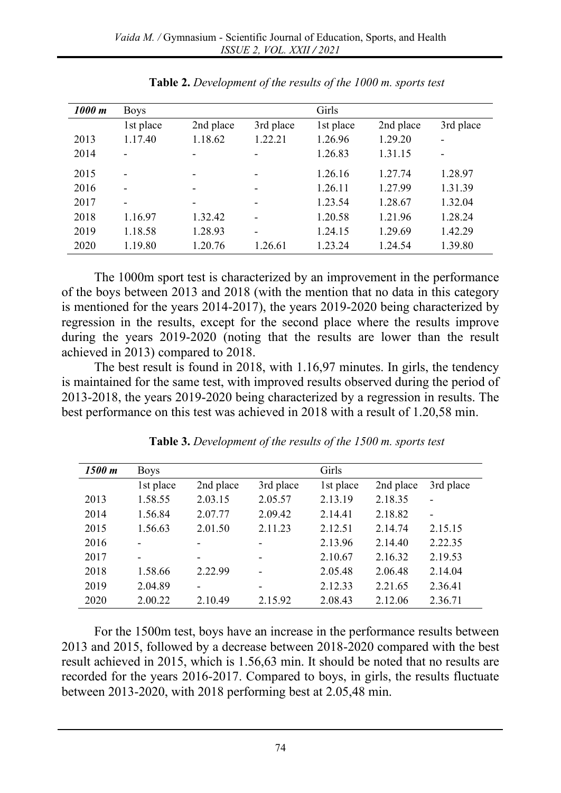| 1000 m | <b>Boys</b>                  |                          |           | Girls     |           |           |
|--------|------------------------------|--------------------------|-----------|-----------|-----------|-----------|
|        | 1st place                    | 2nd place                | 3rd place | 1st place | 2nd place | 3rd place |
| 2013   | 1.17.40                      | 1.18.62                  | 1.22.21   | 1.26.96   | 1.29.20   |           |
| 2014   | $\overline{\phantom{0}}$     | $\qquad \qquad$          |           | 1.26.83   | 1.31.15   |           |
| 2015   | $\overline{\phantom{0}}$     |                          |           | 1.26.16   | 1.27.74   | 1.28.97   |
| 2016   | $\overline{\phantom{0}}$     | $\overline{\phantom{0}}$ | -         | 1.26.11   | 1.27.99   | 1.31.39   |
| 2017   | $\qquad \qquad \blacksquare$ | $\qquad \qquad$          | -         | 1.23.54   | 1.28.67   | 1.32.04   |
| 2018   | 1.16.97                      | 1.32.42                  |           | 1.20.58   | 1.21.96   | 1.28.24   |
| 2019   | 1.18.58                      | 1.28.93                  | -         | 1.24.15   | 1.29.69   | 1.42.29   |
| 2020   | 1.19.80                      | 1.20.76                  | 1.26.61   | 1.23.24   | 1.24.54   | 1.39.80   |

The 1000m sport test is characterized by an improvement in the performance of the boys between 2013 and 2018 (with the mention that no data in this category is mentioned for the years 2014-2017), the years 2019-2020 being characterized by regression in the results, except for the second place where the results improve during the years 2019-2020 (noting that the results are lower than the result achieved in 2013) compared to 2018.

The best result is found in 2018, with 1.16,97 minutes. In girls, the tendency is maintained for the same test, with improved results observed during the period of 2013-2018, the years 2019-2020 being characterized by a regression in results. The best performance on this test was achieved in 2018 with a result of 1.20,58 min.

| 1500 m | <b>Boys</b>              |                          |           | Girls     |           |           |
|--------|--------------------------|--------------------------|-----------|-----------|-----------|-----------|
|        | 1st place                | 2nd place                | 3rd place | 1st place | 2nd place | 3rd place |
| 2013   | 1.58.55                  | 2.03.15                  | 2.05.57   | 2.13.19   | 2.18.35   |           |
| 2014   | 1.56.84                  | 2.07.77                  | 2.09.42   | 2.14.41   | 2.18.82   |           |
| 2015   | 1.56.63                  | 2.01.50                  | 2.11.23   | 2.12.51   | 2.14.74   | 2.15.15   |
| 2016   |                          | -                        |           | 2.13.96   | 2.14.40   | 2.22.35   |
| 2017   | $\overline{\phantom{0}}$ | $\overline{\phantom{0}}$ | -         | 2.10.67   | 2.16.32   | 2.19.53   |
| 2018   | 1.58.66                  | 2.22.99                  |           | 2.05.48   | 2.06.48   | 2.14.04   |
| 2019   | 2.04.89                  | $\overline{\phantom{0}}$ |           | 2.12.33   | 2.21.65   | 2.36.41   |
| 2020   | 2.00.22                  | 2.10.49                  | 2.15.92   | 2.08.43   | 2.12.06   | 2.36.71   |

**Table 3.** *Development of the results of the 1500 m. sports test*

For the 1500m test, boys have an increase in the performance results between 2013 and 2015, followed by a decrease between 2018-2020 compared with the best result achieved in 2015, which is 1.56,63 min. It should be noted that no results are recorded for the years 2016-2017. Compared to boys, in girls, the results fluctuate between 2013-2020, with 2018 performing best at 2.05,48 min.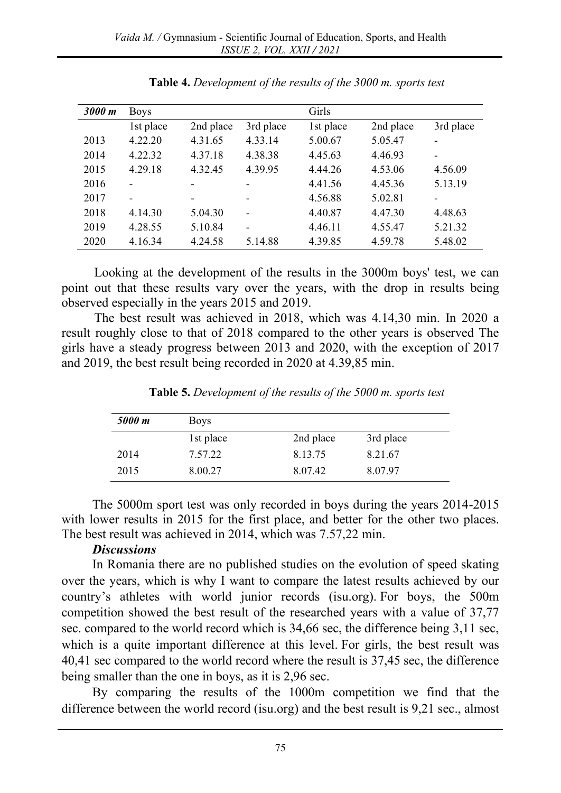| 3000 m | <b>Boys</b> |                          |                          | Girls     |           |           |
|--------|-------------|--------------------------|--------------------------|-----------|-----------|-----------|
|        | 1st place   | 2nd place                | 3rd place                | 1st place | 2nd place | 3rd place |
| 2013   | 4.22.20     | 4.31.65                  | 4.33.14                  | 5.00.67   | 5.05.47   |           |
| 2014   | 4.22.32     | 4.37.18                  | 4.38.38                  | 4.45.63   | 4.46.93   |           |
| 2015   | 4.29.18     | 4.32.45                  | 4.39.95                  | 4.44.26   | 4.53.06   | 4.56.09   |
| 2016   |             | -                        | -                        | 4.41.56   | 4.45.36   | 5.13.19   |
| 2017   |             | $\overline{\phantom{a}}$ | $\qquad \qquad$          | 4.56.88   | 5.02.81   | -         |
| 2018   | 4.14.30     | 5.04.30                  | $\overline{\phantom{0}}$ | 4.40.87   | 4.47.30   | 4.48.63   |
| 2019   | 4.28.55     | 5.10.84                  | $\blacksquare$           | 4.46.11   | 4.55.47   | 5.21.32   |
| 2020   | 4.16.34     | 4.24.58                  | 5.14.88                  | 4.39.85   | 4.59.78   | 5.48.02   |

**Table 4.** *Development of the results of the 3000 m. sports test*

Looking at the development of the results in the 3000m boys' test, we can point out that these results vary over the years, with the drop in results being observed especially in the years 2015 and 2019.

The best result was achieved in 2018, which was 4.14,30 min. In 2020 a result roughly close to that of 2018 compared to the other years is observed The girls have a steady progress between 2013 and 2020, with the exception of 2017 and 2019, the best result being recorded in 2020 at 4.39,85 min.

| 5000 m | <b>Boys</b> |           |           |
|--------|-------------|-----------|-----------|
|        | 1st place   | 2nd place | 3rd place |
| 2014   | 7.57.22     | 8.13.75   | 8.21.67   |
| 2015   | 8.00.27     | 8.07.42   | 8.07.97   |

**Table 5.** *Development of the results of the 5000 m. sports test*

The 5000m sport test was only recorded in boys during the years 2014-2015 with lower results in 2015 for the first place, and better for the other two places. The best result was achieved in 2014, which was 7.57,22 min.

#### *Discussions*

In Romania there are no published studies on the evolution of speed skating over the years, which is why I want to compare the latest results achieved by our country's athletes with world junior records (isu.org). For boys, the 500m competition showed the best result of the researched years with a value of 37,77 sec. compared to the world record which is 34,66 sec, the difference being 3,11 sec, which is a quite important difference at this level. For girls, the best result was 40,41 sec compared to the world record where the result is 37,45 sec, the difference being smaller than the one in boys, as it is 2,96 sec.

By comparing the results of the 1000m competition we find that the difference between the world record (isu.org) and the best result is 9,21 sec., almost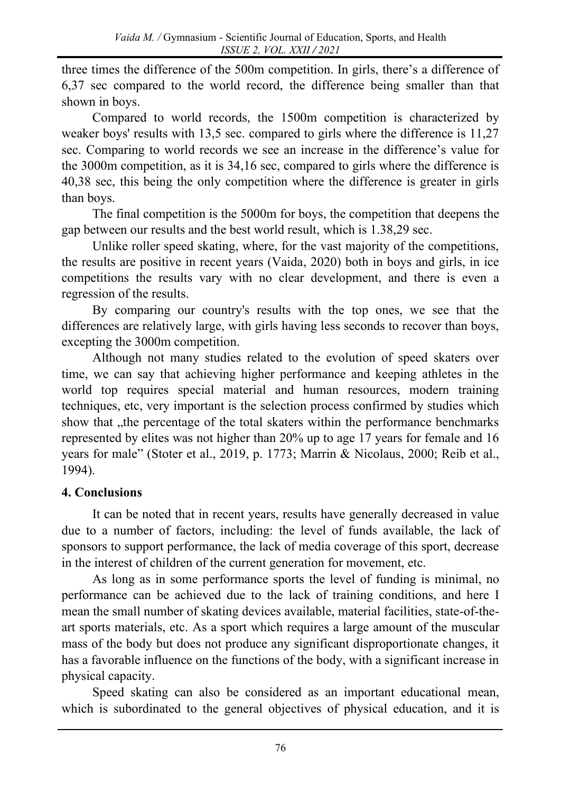three times the difference of the 500m competition. In girls, there's a difference of 6,37 sec compared to the world record, the difference being smaller than that shown in boys.

Compared to world records, the 1500m competition is characterized by weaker boys' results with 13,5 sec. compared to girls where the difference is 11,27 sec. Comparing to world records we see an increase in the difference's value for the 3000m competition, as it is 34,16 sec, compared to girls where the difference is 40,38 sec, this being the only competition where the difference is greater in girls than boys.

The final competition is the 5000m for boys, the competition that deepens the gap between our results and the best world result, which is 1.38,29 sec.

Unlike roller speed skating, where, for the vast majority of the competitions, the results are positive in recent years (Vaida, 2020) both in boys and girls, in ice competitions the results vary with no clear development, and there is even a regression of the results.

By comparing our country's results with the top ones, we see that the differences are relatively large, with girls having less seconds to recover than boys, excepting the 3000m competition.

Although not many studies related to the evolution of speed skaters over time, we can say that achieving higher performance and keeping athletes in the world top requires special material and human resources, modern training techniques, etc, very important is the selection process confirmed by studies which show that , the percentage of the total skaters within the performance benchmarks represented by elites was not higher than 20% up to age 17 years for female and 16 years for male" ([Stoter](https://www.tandfonline.com/author/Stoter%2C+Inge+K) et al., 2019, p. 1773; Marrin & Nicolaus, 2000; Reib et al., 1994).

# **4. Conclusions**

It can be noted that in recent years, results have generally decreased in value due to a number of factors, including: the level of funds available, the lack of sponsors to support performance, the lack of media coverage of this sport, decrease in the interest of children of the current generation for movement, etc.

As long as in some performance sports the level of funding is minimal, no performance can be achieved due to the lack of training conditions, and here I mean the small number of skating devices available, material facilities, state-of-theart sports materials, etc. As a sport which requires a large amount of the muscular mass of the body but does not produce any significant disproportionate changes, it has a favorable influence on the functions of the body, with a significant increase in physical capacity.

Speed skating can also be considered as an important educational mean, which is subordinated to the general objectives of physical education, and it is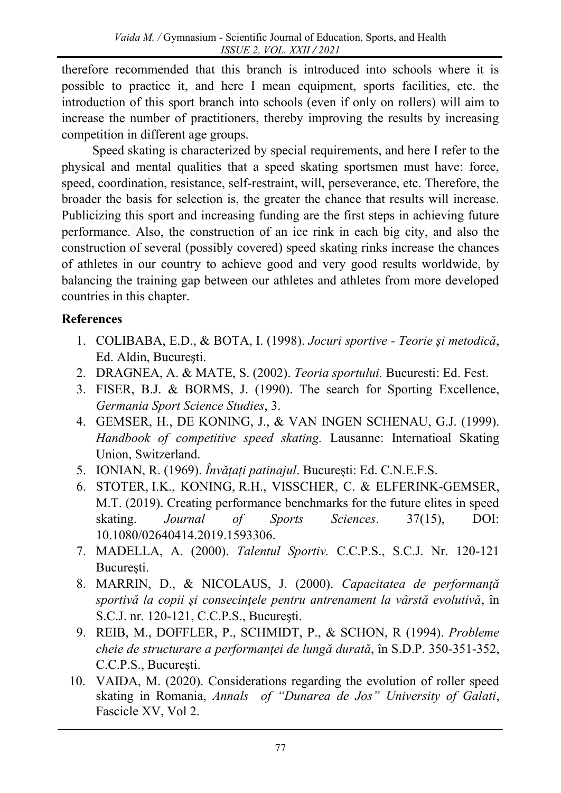therefore recommended that this branch is introduced into schools where it is possible to practice it, and here I mean equipment, sports facilities, etc. the introduction of this sport branch into schools (even if only on rollers) will aim to increase the number of practitioners, thereby improving the results by increasing competition in different age groups.

Speed skating is characterized by special requirements, and here I refer to the physical and mental qualities that a speed skating sportsmen must have: force, speed, coordination, resistance, self-restraint, will, perseverance, etc. Therefore, the broader the basis for selection is, the greater the chance that results will increase. Publicizing this sport and increasing funding are the first steps in achieving future performance. Also, the construction of an ice rink in each big city, and also the construction of several (possibly covered) speed skating rinks increase the chances of athletes in our country to achieve good and very good results worldwide, by balancing the training gap between our athletes and athletes from more developed countries in this chapter.

# **References**

- 1. COLIBABA, E.D., & BOTA, I. (1998). *Jocuri sportive - Teorie şi metodică*, Ed. Aldin, Bucureşti.
- 2. DRAGNEA, A. & MATE, S. (2002). *Teoria sportului.* Bucuresti: Ed. Fest.
- 3. FISER, B.J. & BORMS, J. (1990). The search for Sporting Excellence, *Germania Sport Science Studies*, 3.
- 4. GEMSER, H., DE KONING, J., & VAN INGEN SCHENAU, G.J. (1999). *Handbook of competitive speed skating.* Lausanne: Internatioal Skating Union, Switzerland.
- 5. IONIAN, R. (1969). *Învățați patinajul*. București: Ed. C.N.E.F.S.
- 6. [STOTER,](https://www.tandfonline.com/author/Stoter%2C+Inge+K) I.K., [KONING,](https://www.tandfonline.com/author/Koning%2C+Ruud+H) R.H., [VISSCHER,](https://www.tandfonline.com/author/Visscher%2C+Chris) C. & [ELFERINK-GEMSER,](https://www.tandfonline.com/author/Elferink-Gemser%2C+Marije+T) M.T. (2019). Creating performance benchmarks for the future elites in speed skating. *[Journal of Sports Sciences](https://www.tandfonline.com/rjsp20)*. [37\(](https://www.tandfonline.com/action/tocQuickLink?quickLinkJournal=rjsp20&quickLinkId=vrjsp20-37)15), DOI: 10.1080/02640414.2019.1593306.
- 7. MADELLA, A. (2000). *Talentul Sportiv.* C.C.P.S., S.C.J. Nr. 120-121 Bucureşti.
- 8. MARRIN, D., & NICOLAUS, J. (2000). *Capacitatea de performanţă sportivă la copii şi consecinţele pentru antrenament la vârstă evolutivă*, în S.C.J. nr. 120-121, C.C.P.S., Bucureşti.
- 9. REIB, M., DOFFLER, P., SCHMIDT, P., & SCHON, R (1994). *Probleme cheie de structurare a performanţei de lungă durată*, în S.D.P. 350-351-352, C.C.P.S., Bucureşti.
- 10. VAIDA, M. (2020). Considerations regarding the evolution of roller speed skating in Romania, *Annals of "Dunarea de Jos" University of Galati*, Fascicle XV, Vol 2.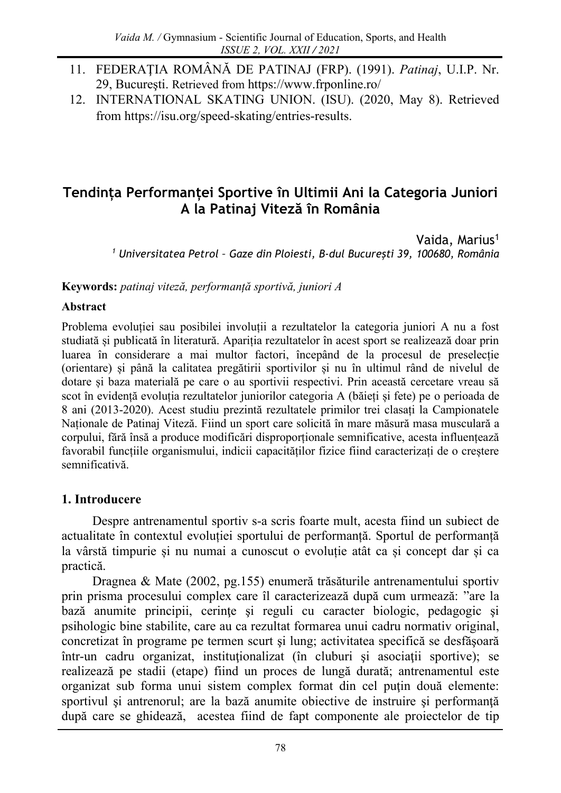- 11. FEDERAŢIA ROMÂNĂ DE PATINAJ (FRP). (1991). *Patinaj*, U.I.P. Nr. 29, Bucureşti. Retrieved from <https://www.frponline.ro/>
- 12. INTERNATIONAL SKATING UNION. (ISU). (2020, May 8). Retrieved from https://isu.org/speed-skating/entries-results.

# **Tendința Performanței Sportive în Ultimii Ani la Categoria Juniori A la Patinaj Viteză în România**

Vaida, Marius<sup>1</sup> *<sup>1</sup> Universitatea Petrol – Gaze din Ploiesti, B-dul Bucureşti 39, 100680, România*

**Keywords:** *patinaj viteză, performanță sportivă, juniori A* 

#### **Abstract**

Problema evoluției sau posibilei involuții a rezultatelor la categoria juniori A nu a fost studiată și publicată în literatură. Apariția rezultatelor în acest sport se realizează doar prin luarea în considerare a mai multor factori, începând de la procesul de preselecție (orientare) și până la calitatea pregătirii sportivilor și nu în ultimul rând de nivelul de dotare și baza materială pe care o au sportivii respectivi. Prin această cercetare vreau să scot în evidență evoluția rezultatelor juniorilor categoria A (băieți și fete) pe o perioada de 8 ani (2013-2020). Acest studiu prezintă rezultatele primilor trei clasați la Campionatele Naționale de Patinaj Viteză. Fiind un sport care solicită în mare măsură masa musculară a corpului, fără însă a produce modificări disproporționale semnificative, acesta influențează favorabil funcțiile organismului, indicii capacităților fizice fiind caracterizați de o creștere semnificativă.

### **1. Introducere**

Despre antrenamentul sportiv s-a scris foarte mult, acesta fiind un subiect de actualitate în contextul evoluției sportului de performanță. Sportul de performanță la vârstă timpurie și nu numai a cunoscut o evoluție atât ca și concept dar și ca practică.

Dragnea & Mate (2002, pg.155) enumeră trăsăturile antrenamentului sportiv prin prisma procesului complex care îl caracterizează după cum urmează: "are la bază anumite principii, cerințe și reguli cu caracter biologic, pedagogic și psihologic bine stabilite, care au ca rezultat formarea unui cadru normativ original, concretizat în programe pe termen scurt şi lung; activitatea specifică se desfăşoară într-un cadru organizat, instituţionalizat (în cluburi şi asociaţii sportive); se realizează pe stadii (etape) fiind un proces de lungă durată; antrenamentul este organizat sub forma unui sistem complex format din cel puţin două elemente: sportivul şi antrenorul; are la bază anumite obiective de instruire şi performanţă după care se ghidează, acestea fiind de fapt componente ale proiectelor de tip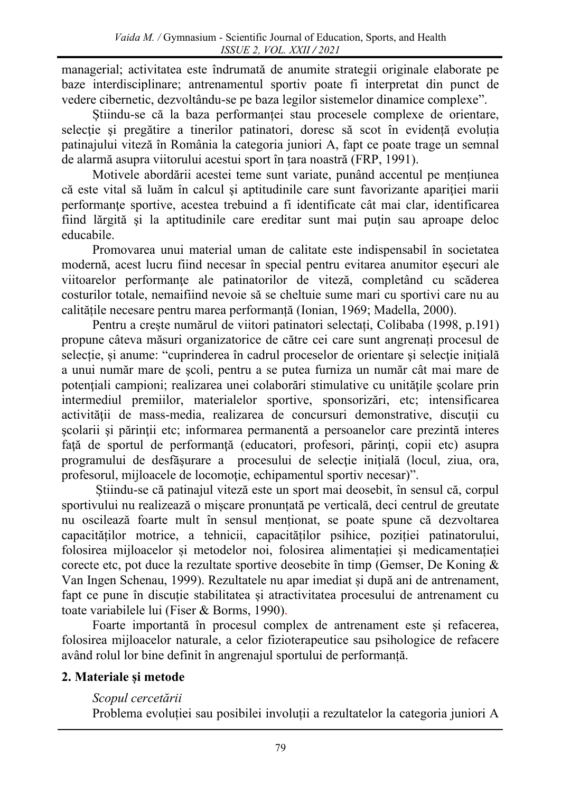managerial; activitatea este îndrumată de anumite strategii originale elaborate pe baze interdisciplinare; antrenamentul sportiv poate fi interpretat din punct de vedere cibernetic, dezvoltându-se pe baza legilor sistemelor dinamice complexe".

Știindu-se că la baza performanței stau procesele complexe de orientare, selecţie şi pregătire a tinerilor patinatori, doresc să scot în evidență evoluția patinajului viteză în România la categoria juniori A, fapt ce poate trage un semnal de alarmă asupra viitorului acestui sport în țara noastră (FRP, 1991).

Motivele abordării acestei teme sunt variate, punând accentul pe mențiunea că este vital să luăm în calcul şi aptitudinile care sunt favorizante apariţiei marii performanţe sportive, acestea trebuind a fi identificate cât mai clar, identificarea fiind lărgită şi la aptitudinile care ereditar sunt mai puţin sau aproape deloc educabile.

Promovarea unui material uman de calitate este indispensabil în societatea modernă, acest lucru fiind necesar în special pentru evitarea anumitor eşecuri ale viitoarelor performanţe ale patinatorilor de viteză, completând cu scăderea costurilor totale, nemaifiind nevoie să se cheltuie sume mari cu sportivi care nu au calitățile necesare pentru marea performanță (Ionian, 1969; Madella, 2000).

Pentru a crește numărul de viitori patinatori selectați, Colibaba (1998, p.191) propune câteva măsuri organizatorice de către cei care sunt angrenați procesul de selecție, și anume: "cuprinderea în cadrul proceselor de orientare și selecție inițială a unui număr mare de şcoli, pentru a se putea furniza un număr cât mai mare de potenţiali campioni; realizarea unei colaborări stimulative cu unităţile şcolare prin intermediul premiilor, materialelor sportive, sponsorizări, etc; intensificarea activității de mass-media, realizarea de concursuri demonstrative, discuții cu şcolarii şi părinţii etc; informarea permanentă a persoanelor care prezintă interes faţă de sportul de performanţă (educatori, profesori, părinţi, copii etc) asupra programului de desfăşurare a procesului de selecţie iniţială (locul, ziua, ora, profesorul, mijloacele de locomoţie, echipamentul sportiv necesar)".

Știindu-se că patinajul viteză este un sport mai deosebit, în sensul că, corpul sportivului nu realizează o mișcare pronunțată pe verticală, deci centrul de greutate nu oscilează foarte mult în sensul menționat, se poate spune că dezvoltarea capacităților motrice, a tehnicii, capacităților psihice, poziției patinatorului, folosirea mijloacelor și metodelor noi, folosirea alimentației și medicamentației corecte etc, pot duce la rezultate sportive deosebite în timp (Gemser, De Koning & Van Ingen Schenau, 1999). Rezultatele nu apar imediat și după ani de antrenament, fapt ce pune în discuție stabilitatea și atractivitatea procesului de antrenament cu toate variabilele lui (Fiser & Borms, 1990).

Foarte importantă în procesul complex de antrenament este și refacerea, folosirea mijloacelor naturale, a celor fizioterapeutice sau psihologice de refacere având rolul lor bine definit în angrenajul sportului de performanță.

## **2. Materiale și metode**

### *Scopul cercetării*

Problema evoluției sau posibilei involuții a rezultatelor la categoria juniori A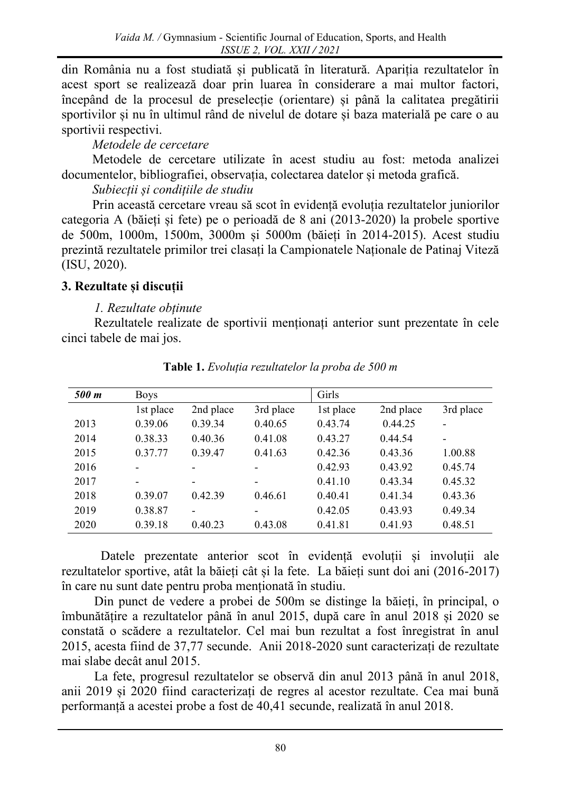din România nu a fost studiată și publicată în literatură. Apariția rezultatelor în acest sport se realizează doar prin luarea în considerare a mai multor factori, începând de la procesul de preselecție (orientare) și până la calitatea pregătirii sportivilor și nu în ultimul rând de nivelul de dotare și baza materială pe care o au sportivii respectivi.

*Metodele de cercetare*

Metodele de cercetare utilizate în acest studiu au fost: metoda analizei documentelor, bibliografiei, observația, colectarea datelor și metoda grafică.

*Subiecții și condițiile de studiu*

Prin această cercetare vreau să scot în evidență evoluția rezultatelor juniorilor categoria A (băieți și fete) pe o perioadă de 8 ani (2013-2020) la probele sportive de 500m, 1000m, 1500m, 3000m și 5000m (băieți în 2014-2015). Acest studiu prezintă rezultatele primilor trei clasați la Campionatele Naționale de Patinaj Viteză (ISU, 2020).

## **3. Rezultate și discuții**

### *1. Rezultate obținute*

Rezultatele realizate de sportivii menționați anterior sunt prezentate în cele cinci tabele de mai jos.

| 500 m | <b>Boys</b>              |                          |                          | Girls     |           |           |
|-------|--------------------------|--------------------------|--------------------------|-----------|-----------|-----------|
|       | 1st place                | 2nd place                | 3rd place                | 1st place | 2nd place | 3rd place |
| 2013  | 0.39.06                  | 0.39.34                  | 0.40.65                  | 0.43.74   | 0.44.25   | Ē,        |
| 2014  | 0.38.33                  | 0.40.36                  | 0.41.08                  | 0.43.27   | 0.44.54   |           |
| 2015  | 0.37.77                  | 0.39.47                  | 0.41.63                  | 0.42.36   | 0.43.36   | 1.00.88   |
| 2016  | -                        | -                        |                          | 0.42.93   | 0.43.92   | 0.45.74   |
| 2017  | $\overline{\phantom{a}}$ | $\overline{\phantom{0}}$ | $\overline{\phantom{0}}$ | 0.41.10   | 0.43.34   | 0.45.32   |
| 2018  | 0.39.07                  | 0.42.39                  | 0.46.61                  | 0.40.41   | 0.41.34   | 0.43.36   |
| 2019  | 0.38.87                  | -                        | -                        | 0.42.05   | 0.43.93   | 0.49.34   |
| 2020  | 0.39.18                  | 0.40.23                  | 0.43.08                  | 0.41.81   | 0.41.93   | 0.48.51   |

**Table 1.** *Evoluția rezultatelor la proba de 500 m*

Datele prezentate anterior scot în evidență evoluții și involuții ale rezultatelor sportive, atât la băieți cât și la fete. La băieți sunt doi ani (2016-2017) în care nu sunt date pentru proba menționată în studiu.

Din punct de vedere a probei de 500m se distinge la băieți, în principal, o îmbunătățire a rezultatelor până în anul 2015, după care în anul 2018 și 2020 se constată o scădere a rezultatelor. Cel mai bun rezultat a fost înregistrat în anul 2015, acesta fiind de 37,77 secunde. Anii 2018-2020 sunt caracterizați de rezultate mai slabe decât anul 2015.

La fete, progresul rezultatelor se observă din anul 2013 până în anul 2018, anii 2019 și 2020 fiind caracterizați de regres al acestor rezultate. Cea mai bună performanță a acestei probe a fost de 40,41 secunde, realizată în anul 2018.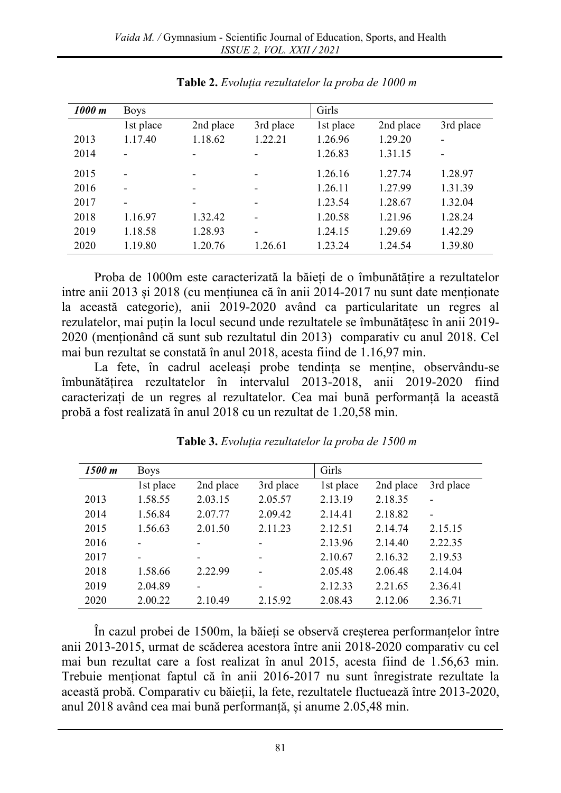| 1000 m | <b>Boys</b>              |                          |           | Girls     |           |           |
|--------|--------------------------|--------------------------|-----------|-----------|-----------|-----------|
|        | 1st place                | 2nd place                | 3rd place | 1st place | 2nd place | 3rd place |
| 2013   | 1.17.40                  | 1.18.62                  | 1.22.21   | 1.26.96   | 1.29.20   |           |
| 2014   |                          |                          |           | 1.26.83   | 1.31.15   |           |
| 2015   | $\overline{\phantom{0}}$ |                          |           | 1.26.16   | 1.27.74   | 1.28.97   |
| 2016   | $\overline{\phantom{0}}$ | $\overline{\phantom{a}}$ |           | 1.26.11   | 1.27.99   | 1.31.39   |
| 2017   | $\overline{\phantom{0}}$ | $\overline{\phantom{0}}$ |           | 1.23.54   | 1.28.67   | 1.32.04   |
| 2018   | 1.16.97                  | 1.32.42                  |           | 1.20.58   | 1.21.96   | 1.28.24   |
| 2019   | 1.18.58                  | 1.28.93                  |           | 1.24.15   | 1.29.69   | 1.42.29   |
| 2020   | 1.19.80                  | 1.20.76                  | 1.26.61   | 1.23.24   | 1.24.54   | 1.39.80   |

**Table 2.** *Evoluția rezultatelor la proba de 1000 m*

Proba de 1000m este caracterizată la băieți de o îmbunătățire a rezultatelor intre anii 2013 și 2018 (cu mențiunea că în anii 2014-2017 nu sunt date menționate la această categorie), anii 2019-2020 având ca particularitate un regres al rezulatelor, mai puțin la locul secund unde rezultatele se îmbunătățesc în anii 2019- 2020 (menționând că sunt sub rezultatul din 2013) comparativ cu anul 2018. Cel mai bun rezultat se constată în anul 2018, acesta fiind de 1.16,97 min.

La fete, în cadrul aceleași probe tendința se menține, observându-se îmbunătățirea rezultatelor în intervalul 2013-2018, anii 2019-2020 fiind caracterizați de un regres al rezultatelor. Cea mai bună performanță la această probă a fost realizată în anul 2018 cu un rezultat de 1.20,58 min.

| 1500 m | <b>Boys</b>              |           |           | Girls     |           |           |
|--------|--------------------------|-----------|-----------|-----------|-----------|-----------|
|        | 1st place                | 2nd place | 3rd place | 1st place | 2nd place | 3rd place |
| 2013   | 1.58.55                  | 2.03.15   | 2.05.57   | 2.13.19   | 2.18.35   |           |
| 2014   | 1.56.84                  | 2.07.77   | 2.09.42   | 2.14.41   | 2.18.82   |           |
| 2015   | 1.56.63                  | 2.01.50   | 2.11.23   | 2.12.51   | 2.14.74   | 2.15.15   |
| 2016   |                          |           |           | 2.13.96   | 2.14.40   | 2.22.35   |
| 2017   | $\overline{\phantom{0}}$ | -         | -         | 2.10.67   | 2.16.32   | 2.19.53   |
| 2018   | 1.58.66                  | 2.22.99   |           | 2.05.48   | 2.06.48   | 2.14.04   |
| 2019   | 2.04.89                  | -         |           | 2.12.33   | 2.21.65   | 2.36.41   |
| 2020   | 2.00.22                  | 2.10.49   | 2.15.92   | 2.08.43   | 2.12.06   | 2.36.71   |

**Table 3.** *Evoluția rezultatelor la proba de 1500 m*

În cazul probei de 1500m, la băieți se observă creșterea performanțelor între anii 2013-2015, urmat de scăderea acestora între anii 2018-2020 comparativ cu cel mai bun rezultat care a fost realizat în anul 2015, acesta fiind de 1.56,63 min. Trebuie menționat faptul că în anii 2016-2017 nu sunt înregistrate rezultate la această probă. Comparativ cu băieții, la fete, rezultatele fluctuează între 2013-2020, anul 2018 având cea mai bună performanță, și anume 2.05,48 min.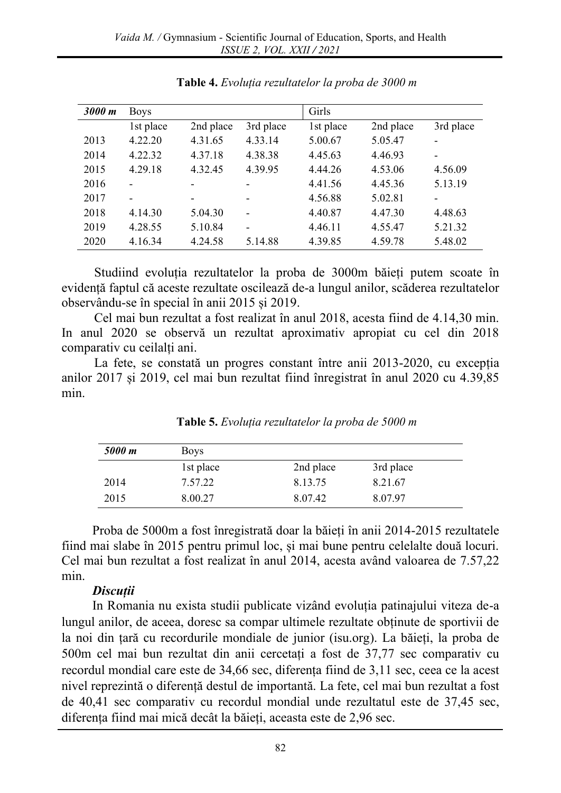| 3000 m | <b>Boys</b> |           |                          | <b>Girls</b> |           |           |
|--------|-------------|-----------|--------------------------|--------------|-----------|-----------|
|        | 1st place   | 2nd place | 3rd place                | 1st place    | 2nd place | 3rd place |
| 2013   | 4.22.20     | 4.31.65   | 4.33.14                  | 5.00.67      | 5.05.47   |           |
| 2014   | 4.22.32     | 4.37.18   | 4.38.38                  | 4.45.63      | 4.46.93   | -         |
| 2015   | 4.29.18     | 4.32.45   | 4.39.95                  | 4.44.26      | 4.53.06   | 4.56.09   |
| 2016   |             |           |                          | 4.41.56      | 4.45.36   | 5.13.19   |
| 2017   |             | -         | $\overline{\phantom{0}}$ | 4.56.88      | 5.02.81   | -         |
| 2018   | 4.14.30     | 5.04.30   |                          | 4.40.87      | 4.47.30   | 4.48.63   |
| 2019   | 4.28.55     | 5.10.84   |                          | 4.46.11      | 4.55.47   | 5.21.32   |
| 2020   | 4.16.34     | 4.24.58   | 5.14.88                  | 4.39.85      | 4.59.78   | 5.48.02   |

**Table 4.** *Evoluția rezultatelor la proba de 3000 m*

Studiind evoluția rezultatelor la proba de 3000m băieți putem scoate în evidență faptul că aceste rezultate oscilează de-a lungul anilor, scăderea rezultatelor observându-se în special în anii 2015 și 2019.

Cel mai bun rezultat a fost realizat în anul 2018, acesta fiind de 4.14,30 min. In anul 2020 se observă un rezultat aproximativ apropiat cu cel din 2018 comparativ cu ceilalți ani.

La fete, se constată un progres constant între anii 2013-2020, cu excepția anilor 2017 și 2019, cel mai bun rezultat fiind înregistrat în anul 2020 cu 4.39,85 min.

| 5000 m | <b>Boys</b> |           |           |  |
|--------|-------------|-----------|-----------|--|
|        | 1st place   | 2nd place | 3rd place |  |
| 2014   | 7.57.22     | 8.13.75   | 8.21.67   |  |
| 2015   | 8.00.27     | 8.07.42   | 8.07.97   |  |

**Table 5.** *Evoluția rezultatelor la proba de 5000 m*

Proba de 5000m a fost înregistrată doar la băieți în anii 2014-2015 rezultatele fiind mai slabe în 2015 pentru primul loc, și mai bune pentru celelalte două locuri. Cel mai bun rezultat a fost realizat în anul 2014, acesta având valoarea de 7.57,22 min.

### *Discuții*

In Romania nu exista studii publicate vizând evoluția patinajului viteza de-a lungul anilor, de aceea, doresc sa compar ultimele rezultate obținute de sportivii de la noi din țară cu recordurile mondiale de junior (isu.org). La băieți, la proba de 500m cel mai bun rezultat din anii cercetați a fost de 37,77 sec comparativ cu recordul mondial care este de 34,66 sec, diferența fiind de 3,11 sec, ceea ce la acest nivel reprezintă o diferență destul de importantă. La fete, cel mai bun rezultat a fost de 40,41 sec comparativ cu recordul mondial unde rezultatul este de 37,45 sec, diferența fiind mai mică decât la băieți, aceasta este de 2,96 sec.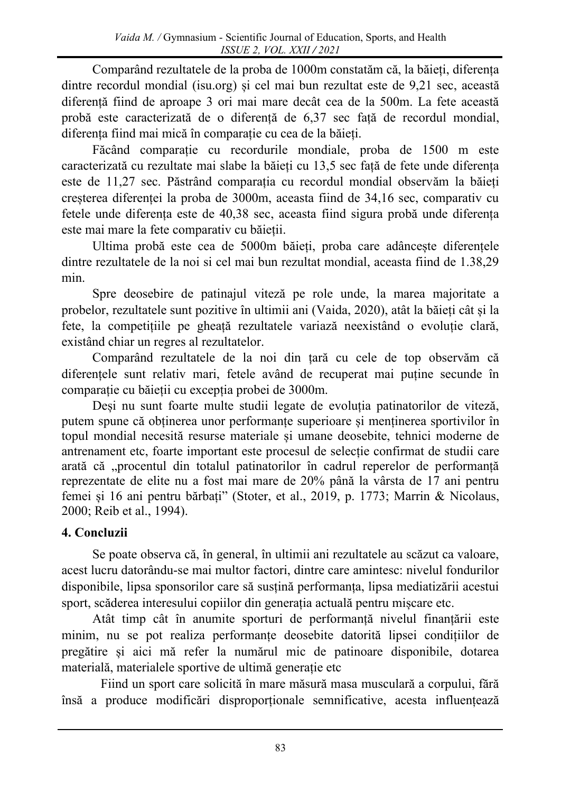Comparând rezultatele de la proba de 1000m constatăm că, la băieți, diferența dintre recordul mondial (isu.org) și cel mai bun rezultat este de 9,21 sec, această diferență fiind de aproape 3 ori mai mare decât cea de la 500m. La fete această probă este caracterizată de o diferență de 6,37 sec față de recordul mondial, diferența fiind mai mică în comparație cu cea de la băieți.

Făcând comparație cu recordurile mondiale, proba de 1500 m este caracterizată cu rezultate mai slabe la băieți cu 13,5 sec față de fete unde diferența este de 11,27 sec. Păstrând comparația cu recordul mondial observăm la băieți creșterea diferenței la proba de 3000m, aceasta fiind de 34,16 sec, comparativ cu fetele unde diferența este de 40,38 sec, aceasta fiind sigura probă unde diferența este mai mare la fete comparativ cu băieții.

Ultima probă este cea de 5000m băieți, proba care adâncește diferențele dintre rezultatele de la noi si cel mai bun rezultat mondial, aceasta fiind de 1.38,29 min.

Spre deosebire de patinajul viteză pe role unde, la marea majoritate a probelor, rezultatele sunt pozitive în ultimii ani (Vaida, 2020), atât la băieți cât și la fete, la competițiile pe gheață rezultatele variază neexistând o evoluție clară, existând chiar un regres al rezultatelor.

Comparând rezultatele de la noi din țară cu cele de top observăm că diferențele sunt relativ mari, fetele având de recuperat mai puține secunde în comparație cu băieții cu excepția probei de 3000m.

Deși nu sunt foarte multe studii legate de evoluția patinatorilor de viteză, putem spune că obținerea unor performanțe superioare și menținerea sportivilor în topul mondial necesită resurse materiale și umane deosebite, tehnici moderne de antrenament etc, foarte important este procesul de selecție confirmat de studii care arată că "procentul din totalul patinatorilor în cadrul reperelor de performanță reprezentate de elite nu a fost mai mare de 20% până la vârsta de 17 ani pentru femei și 16 ani pentru bărbați" (Stoter, et al., 2019, p. 1773; Marrin & Nicolaus, 2000; Reib et al., 1994).

# **4. Concluzii**

Se poate observa că, în general, în ultimii ani rezultatele au scăzut ca valoare, acest lucru datorându-se mai multor factori, dintre care amintesc: nivelul fondurilor disponibile, lipsa sponsorilor care să susțină performanța, lipsa mediatizării acestui sport, scăderea interesului copiilor din generația actuală pentru mișcare etc.

Atât timp cât în anumite sporturi de performanță nivelul finanțării este minim, nu se pot realiza performanțe deosebite datorită lipsei condițiilor de pregătire și aici mă refer la numărul mic de patinoare disponibile, dotarea materială, materialele sportive de ultimă generație etc

Fiind un sport care solicită în mare măsură masa musculară a corpului, fără însă a produce modificări disproporționale semnificative, acesta influențează